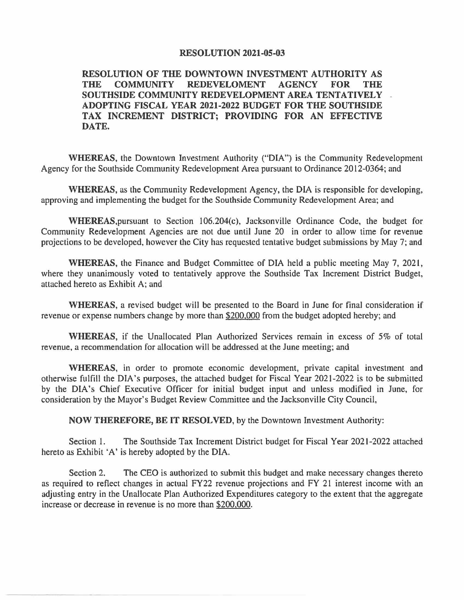## **RESOLUTION 2021-05-03**

**RESOLUTION OF THE DOWNTOWN INVESTMENT AUTHORITY AS THE COMMUNITY REDEVELOMENT AGENCY FOR THE SOUTHSIDE COMMUNITY REDEVELOPMENT AREA TENTATIVELY ADOPTING FISCAL YEAR 2021-2022 BUDGET FOR THE SOUTHSIDE TAX INCREMENT DISTRICT; PROVIDING FOR AN EFFECTIVE DATE.** 

**WHEREAS,** the Downtown Investment Authority ("DIA") is the Community Redevelopment Agency for the Southside Community Redevelopment Area pursuant to Ordinance 2012-0364; and

**WHEREAS,** as the Community Redevelopment Agency, the DIA is responsible for developing, approving and implementing the budget for the Southside Community Redevelopment Area; and

WHEREAS.pursuant to Section l06.204(c), Jacksonville Ordinance Code, the budget for Community Redevelopment Agencies are not due until June 20 in order to allow time for revenue projections to be developed, however the City has requested tentative budget submissions by May 7; and

**WHEREAS,** the Finance and Budget Committee of DIA held a public meeting May 7, 2021, where they unanimously voted to tentatively approve the Southside Tax Increment District Budget, attached hereto as Exhibit A; and

**WHEREAS,** a revised budget will be presented to the Board in June for final consideration if revenue or expense numbers change by more than \$200,000 from the budget adopted hereby; and

**WHEREAS,** if the Unallocated Plan Authorized Services remain in excess of 5% of total revenue, a recommendation for allocation will be addressed at the June meeting; and

**WHEREAS,** in order to promote economic development, private capital investment and otherwise fulfill the DIA's purposes, the attached budget for Fiscal Year 2021-2022 is to be submitted by the DIA's Chief Executive Officer for initial budget input and unless modified in June, for consideration by the Mayor's Budget Review Committee and the Jacksonville City Council,

**NOW THEREFORE, BE IT RESOLVED,** by the Downtown Investment Authority:

Section 1. The Southside Tax Increment District budget for Fiscal Year 2021-2022 attached hereto as Exhibit 'A' is hereby adopted by the DIA.

Section 2. The CEO is authorized to submit this budget and make necessary changes thereto as required to reflect changes in actual FY22 revenue projections and FY 21 interest income with an adjusting entry in the Unallocate Plan Authorized Expenditures category to the extent that the aggregate increase or decrease in revenue is no more than \$200,000.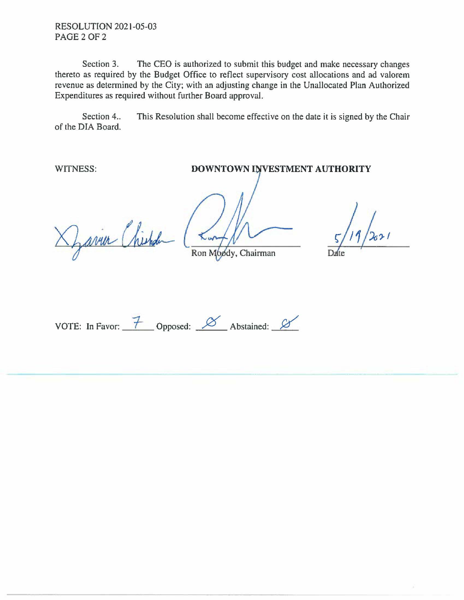RESOLUTION 2021-05-03 PAGE 2 OF 2

Section 3. The CEO is authorized to submit this budget and make necessary changes thereto as required by the Budget Office to reflect supervisory cost allocations and ad valorem revenue as determined by the City; with an adjusting change in the Unallocated Plan Authorized Expenditures as required without further Board approval.

Section 4.. This Resolution shall become effective on the date it is signed by the Chair of the DIA Board.

WITNESS:

DOWNTOWN INVESTMENT AUTHORITY

Zaria Chistole

Ron Moody, Chairman

VOTE: In Favor:  $\frac{7}{100}$  Opposed:  $\frac{8}{100}$  Abstained:  $\frac{8}{100}$